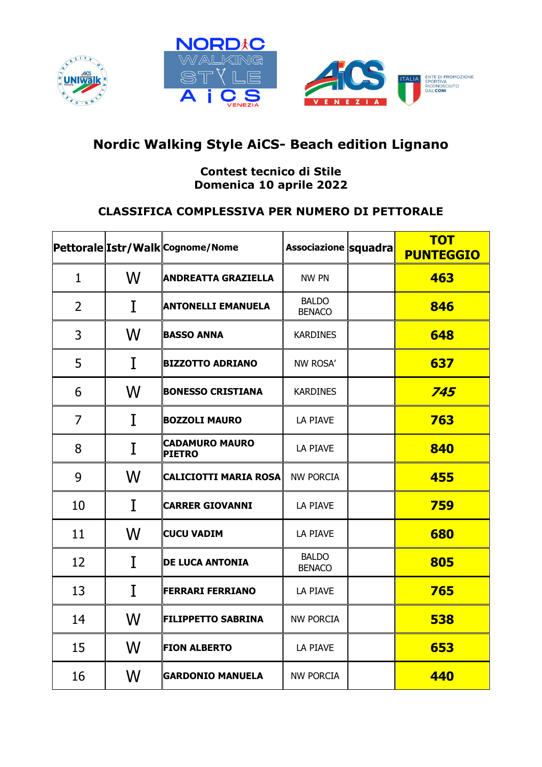





## **Nordic Walking Style AiCS- Beach edition Lignano**

## **Contest tecnico di Stile Domenica 10 aprile 2022**

## **CLASSIFICA COMPLESSIVA PER NUMERO DI PETTORALE**

|                |   | Pettorale Istr/Walk Cognome/Nome       | Associazione squadra          | <b>TOT</b><br><b>PUNTEGGIO</b> |
|----------------|---|----------------------------------------|-------------------------------|--------------------------------|
| $\mathbf{1}$   | W | <b>ANDREATTA GRAZIELLA</b>             | <b>NW PN</b>                  | 463                            |
| $\overline{2}$ | I | <b>ANTONELLI EMANUELA</b>              | <b>BALDO</b><br><b>BENACO</b> | 846                            |
| 3              | W | <b>BASSO ANNA</b>                      | <b>KARDINES</b>               | 648                            |
| 5              | I | <b>BIZZOTTO ADRIANO</b>                | NW ROSA'                      | 637                            |
| 6              | W | <b>BONESSO CRISTIANA</b>               | <b>KARDINES</b>               | 745                            |
| $\overline{7}$ | I | <b>BOZZOLI MAURO</b>                   | LA PIAVE                      | 763                            |
| 8              | I | <b>CADAMURO MAURO</b><br><b>PIETRO</b> | LA PIAVE                      | 840                            |
| 9              | W | <b>CALICIOTTI MARIA ROSA</b>           | <b>NW PORCIA</b>              | 455                            |
| 10             | I | <b>CARRER GIOVANNI</b>                 | LA PIAVE                      | 759                            |
| 11             | W | <b>CUCU VADIM</b>                      | LA PIAVE                      | 680                            |
| 12             | I | <b>DE LUCA ANTONIA</b>                 | <b>BALDO</b><br><b>BENACO</b> | 805                            |
| 13             | I | <b>FERRARI FERRIANO</b>                | LA PIAVE                      | 765                            |
| 14             | W | <b>FILIPPETTO SABRINA</b>              | <b>NW PORCIA</b>              | 538                            |
| 15             | W | <b>FION ALBERTO</b>                    | LA PIAVE                      | 653                            |
| 16             | W | <b>GARDONIO MANUELA</b>                | <b>NW PORCIA</b>              | 440                            |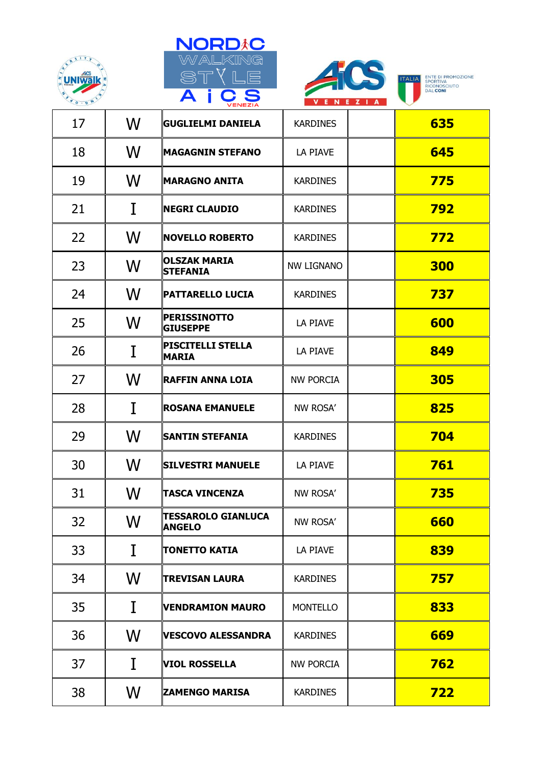





**ITALIA** ENTE DI PROMOZIONE<br>
RICONOSCIUTO<br>
DAL **CONI** 

|    |   | <b>VENEZIA</b>                             | $\mathbf{N}$ is the second for $\mathbf{N}$ |            |
|----|---|--------------------------------------------|---------------------------------------------|------------|
| 17 | W | <b>GUGLIELMI DANIELA</b>                   | <b>KARDINES</b>                             | 635        |
| 18 | W | <b>MAGAGNIN STEFANO</b>                    | LA PIAVE                                    | 645        |
| 19 | W | <b>MARAGNO ANITA</b>                       | <b>KARDINES</b>                             | 775        |
| 21 | I | <b>NEGRI CLAUDIO</b>                       | <b>KARDINES</b>                             | 792        |
| 22 | W | <b>NOVELLO ROBERTO</b>                     | <b>KARDINES</b>                             | 772        |
| 23 | W | <b>OLSZAK MARIA</b><br><b>STEFANIA</b>     | NW LIGNANO                                  | <b>300</b> |
| 24 | W | PATTARELLO LUCIA                           | <b>KARDINES</b>                             | 737        |
| 25 | W | <b>PERISSINOTTO</b><br><b>GIUSEPPE</b>     | LA PIAVE                                    | 600        |
| 26 | I | <b>PISCITELLI STELLA</b><br><b>MARIA</b>   | LA PIAVE                                    | 849        |
| 27 | W | <b>RAFFIN ANNA LOIA</b>                    | <b>NW PORCIA</b>                            | 305        |
| 28 | I | <b>ROSANA EMANUELE</b>                     | NW ROSA'                                    | 825        |
| 29 | W | <b>SANTIN STEFANIA</b>                     | <b>KARDINES</b>                             | 704        |
| 30 | W | <b>SILVESTRI MANUELE</b>                   | LA PIAVE                                    | 761        |
| 31 | W | <b>TASCA VINCENZA</b>                      | NW ROSA'                                    | 735        |
| 32 | W | <b>TESSAROLO GIANLUCA</b><br><b>ANGELO</b> | NW ROSA'                                    | 660        |
| 33 | I | <b>TONETTO KATIA</b>                       | LA PIAVE                                    | 839        |
| 34 | W | <b>TREVISAN LAURA</b>                      | <b>KARDINES</b>                             | 757        |
| 35 | I | <b>VENDRAMION MAURO</b>                    | <b>MONTELLO</b>                             | 833        |
| 36 | W | <b>VESCOVO ALESSANDRA</b>                  | <b>KARDINES</b>                             | 669        |
| 37 | I | <b>VIOL ROSSELLA</b>                       | <b>NW PORCIA</b>                            | 762        |
| 38 | W | <b>ZAMENGO MARISA</b>                      | <b>KARDINES</b>                             | <b>722</b> |